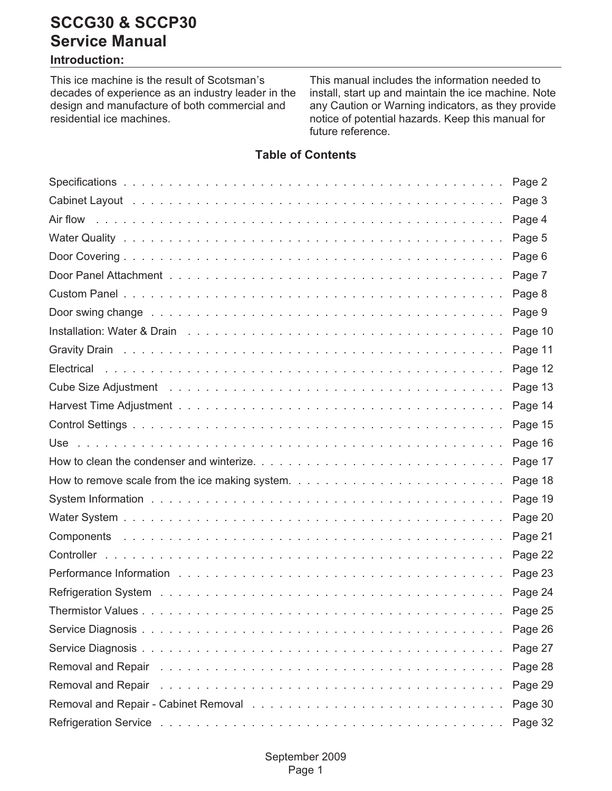#### **Introduction:**

This ice machine is the result of Scotsman's decades of experience as an industry leader in the design and manufacture of both commercial and residential ice machines.

This manual includes the information needed to install, start up and maintain the ice machine. Note any Caution or Warning indicators, as they provide notice of potential hazards. Keep this manual for future reference.

#### **Table of Contents**

|     | Page 2  |
|-----|---------|
|     | Page 3  |
|     | Page 4  |
|     | Page 5  |
|     | Page 6  |
|     | Page 7  |
|     | Page 8  |
|     | Page 9  |
|     | Page 10 |
|     | Page 11 |
|     | Page 12 |
|     | Page 13 |
|     | Page 14 |
|     | Page 15 |
| Use | Page 16 |
|     | Page 17 |
|     | Page 18 |
|     | Page 19 |
|     | Page 20 |
|     | Page 21 |
|     | Page 22 |
|     | Page 23 |
|     | Page 24 |
|     | Page 25 |
|     | Page 26 |
|     | Page 27 |
|     | Page 28 |
|     | Page 29 |
|     | Page 30 |
|     | Page 32 |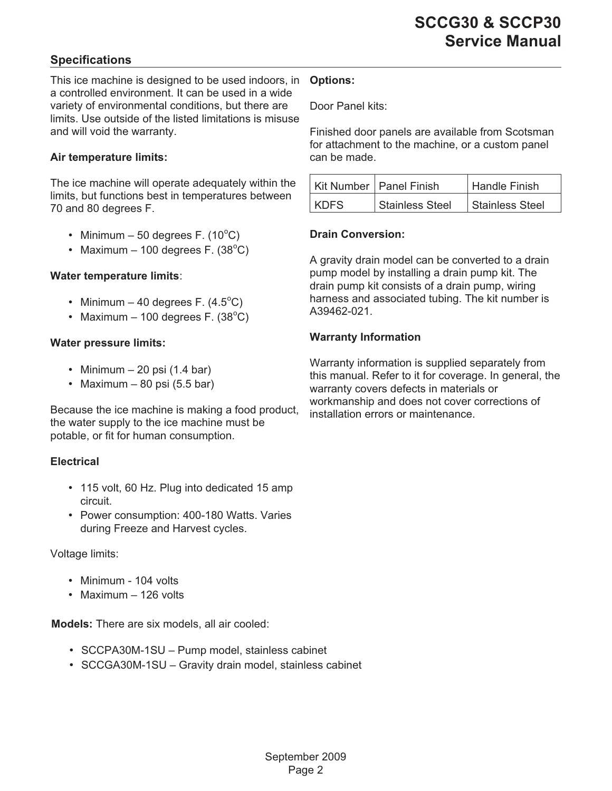#### <span id="page-1-0"></span>**Specifications**

This ice machine is designed to be used indoors, in **Options:** a controlled environment. It can be used in a wide variety of environmental conditions, but there are limits. Use outside of the listed limitations is misuse and will void the warranty.

#### **Air temperature limits:**

The ice machine will operate adequately within the limits, but functions best in temperatures between 70 and 80 degrees F.

- Minimum  $-50$  degrees F.  $(10^{\circ}C)$
- Maximum  $-100$  degrees F.  $(38^{\circ}C)$

#### **Water temperature limits**:

- Minimum  $-$  40 degrees F. (4.5 $^{\circ}$ C)
- Maximum  $-100$  degrees F.  $(38^{\circ}C)$

#### **Water pressure limits:**

- Minimum  $-20$  psi (1.4 bar)
- Maximum 80 psi  $(5.5 \text{ bar})$

Because the ice machine is making a food product, the water supply to the ice machine must be potable, or fit for human consumption.

#### **Electrical**

- 115 volt, 60 Hz. Plug into dedicated 15 amp circuit.
- Power consumption: 400-180 Watts. Varies during Freeze and Harvest cycles.

#### Voltage limits:

- Minimum 104 volts
- Maximum 126 volts

**Models:** There are six models, all air cooled:

- SCCPA30M-1SU Pump model, stainless cabinet
- SCCGA30M-1SU Gravity drain model, stainless cabinet

Door Panel kits:

Finished door panels are available from Scotsman for attachment to the machine, or a custom panel can be made.

|      | Kit Number   Panel Finish | <b>Handle Finish</b>   |
|------|---------------------------|------------------------|
| KDFS | <b>Stainless Steel</b>    | <b>Stainless Steel</b> |

#### **Drain Conversion:**

A gravity drain model can be converted to a drain pump model by installing a drain pump kit. The drain pump kit consists of a drain pump, wiring harness and associated tubing. The kit number is A39462-021.

#### **Warranty Information**

Warranty information is supplied separately from this manual. Refer to it for coverage. In general, the warranty covers defects in materials or workmanship and does not cover corrections of installation errors or maintenance.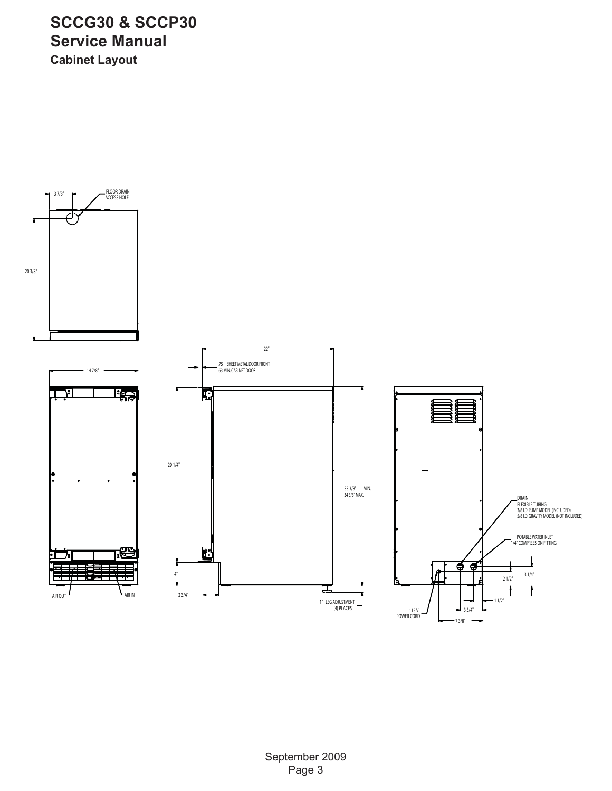<span id="page-2-0"></span>**Cabinet Layout**

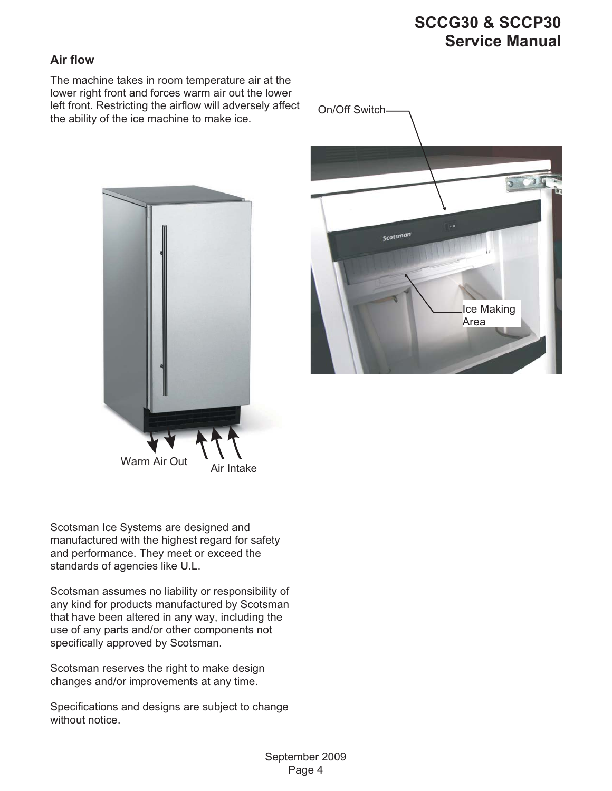#### <span id="page-3-0"></span>**Air flow**

The machine takes in room temperature air at the lower right front and forces warm air out the lower left front. Restricting the airflow will adversely affect the ability of the ice machine to make ice.





Scotsman Ice Systems are designed and manufactured with the highest regard for safety and performance. They meet or exceed the standards of agencies like U.L.

Scotsman assumes no liability or responsibility of any kind for products manufactured by Scotsman that have been altered in any way, including the use of any parts and/or other components not specifically approved by Scotsman.

Scotsman reserves the right to make design changes and/or improvements at any time.

Specifications and designs are subject to change without notice.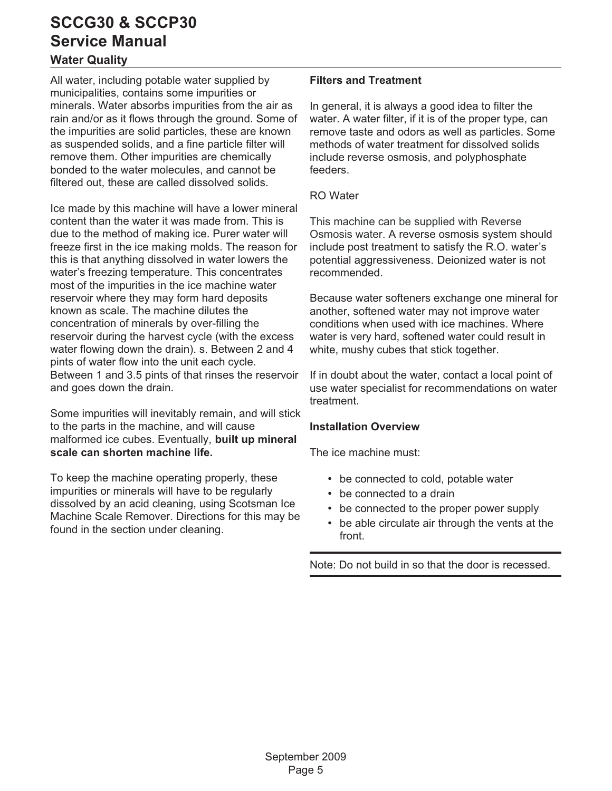#### <span id="page-4-0"></span>**Water Quality**

All water, including potable water supplied by municipalities, contains some impurities or minerals. Water absorbs impurities from the air as rain and/or as it flows through the ground. Some of the impurities are solid particles, these are known as suspended solids, and a fine particle filter will remove them. Other impurities are chemically bonded to the water molecules, and cannot be filtered out, these are called dissolved solids.

Ice made by this machine will have a lower mineral content than the water it was made from. This is due to the method of making ice. Purer water will freeze first in the ice making molds. The reason for this is that anything dissolved in water lowers the water's freezing temperature. This concentrates most of the impurities in the ice machine water reservoir where they may form hard deposits known as scale. The machine dilutes the concentration of minerals by over-filling the reservoir during the harvest cycle (with the excess water flowing down the drain). s. Between 2 and 4 pints of water flow into the unit each cycle. Between 1 and 3.5 pints of that rinses the reservoir and goes down the drain.

Some impurities will inevitably remain, and will stick to the parts in the machine, and will cause malformed ice cubes. Eventually, **built up mineral scale can shorten machine life.**

To keep the machine operating properly, these impurities or minerals will have to be regularly dissolved by an acid cleaning, using Scotsman Ice Machine Scale Remover. Directions for this may be found in the section under cleaning.

#### **Filters and Treatment**

In general, it is always a good idea to filter the water. A water filter, if it is of the proper type, can remove taste and odors as well as particles. Some methods of water treatment for dissolved solids include reverse osmosis, and polyphosphate feeders.

#### RO Water

This machine can be supplied with Reverse Osmosis water. A reverse osmosis system should include post treatment to satisfy the R.O. water's potential aggressiveness. Deionized water is not recommended.

Because water softeners exchange one mineral for another, softened water may not improve water conditions when used with ice machines. Where water is very hard, softened water could result in white, mushy cubes that stick together.

If in doubt about the water, contact a local point of use water specialist for recommendations on water treatment.

#### **Installation Overview**

The ice machine must:

- be connected to cold, potable water
- be connected to a drain
- be connected to the proper power supply
- be able circulate air through the vents at the front.

Note: Do not build in so that the door is recessed.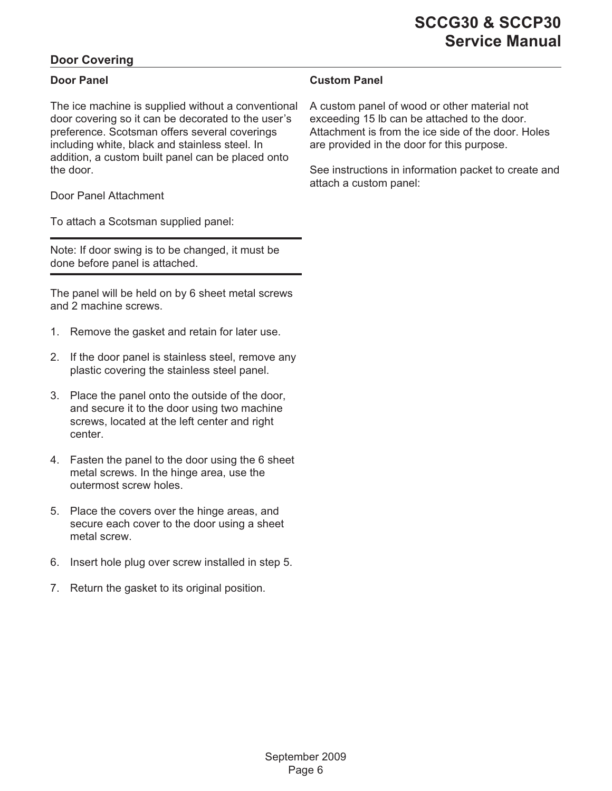#### <span id="page-5-0"></span>**Door Covering**

#### **Door Panel**

The ice machine is supplied without a conventional door covering so it can be decorated to the user's preference. Scotsman offers several coverings including white, black and stainless steel. In addition, a custom built panel can be placed onto the door.

Door Panel Attachment

To attach a Scotsman supplied panel:

Note: If door swing is to be changed, it must be done before panel is attached.

The panel will be held on by 6 sheet metal screws and 2 machine screws.

- 1. Remove the gasket and retain for later use.
- 2. If the door panel is stainless steel, remove any plastic covering the stainless steel panel.
- 3. Place the panel onto the outside of the door, and secure it to the door using two machine screws, located at the left center and right center.
- 4. Fasten the panel to the door using the 6 sheet metal screws. In the hinge area, use the outermost screw holes.
- 5. Place the covers over the hinge areas, and secure each cover to the door using a sheet metal screw.
- 6. Insert hole plug over screw installed in step 5.
- 7. Return the gasket to its original position.

#### **Custom Panel**

A custom panel of wood or other material not exceeding 15 lb can be attached to the door. Attachment is from the ice side of the door. Holes are provided in the door for this purpose.

See instructions in information packet to create and attach a custom panel: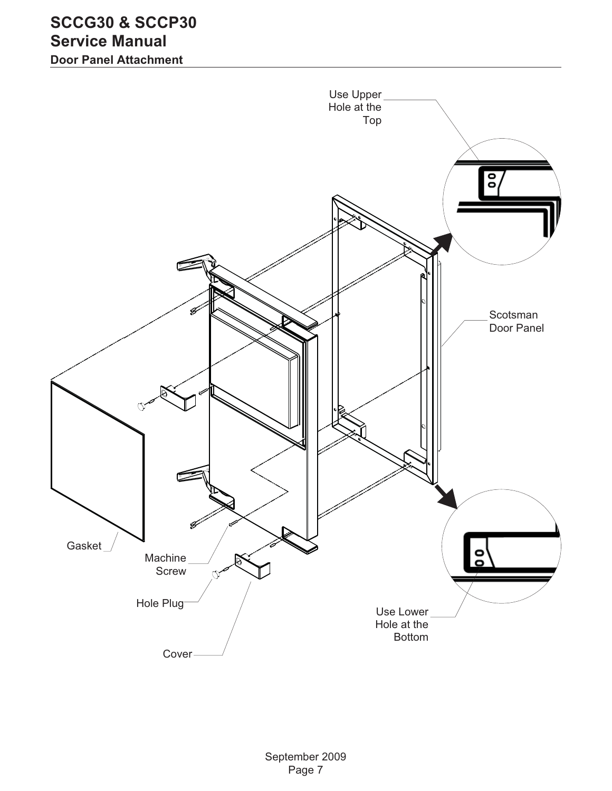<span id="page-6-0"></span>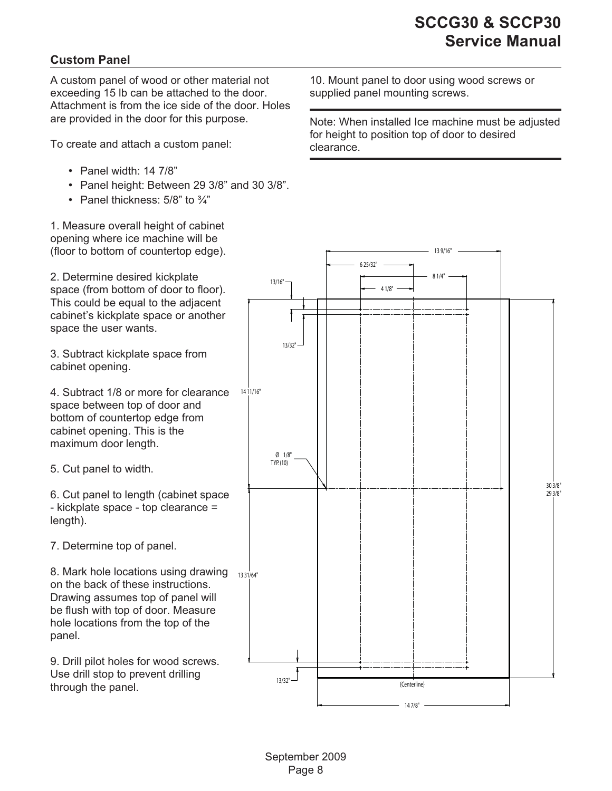#### <span id="page-7-0"></span>**Custom Panel**

A custom panel of wood or other material not exceeding 15 lb can be attached to the door. Attachment is from the ice side of the door. Holes are provided in the door for this purpose.

To create and attach a custom panel:

- Panel width: 14 7/8"
- Panel height: Between 29 3/8" and 30 3/8".
- Panel thickness: 5/8" to 3/4"

1. Measure overall height of cabinet opening where ice machine will be (floor to bottom of countertop edge).

2. Determine desired kickplate space (from bottom of door to floor). This could be equal to the adjacent cabinet's kickplate space or another space the user wants.

3. Subtract kickplate space from cabinet opening.

4. Subtract 1/8 or more for clearance space between top of door and bottom of countertop edge from cabinet opening. This is the maximum door length.

5. Cut panel to width.

6. Cut panel to length (cabinet space - kickplate space - top clearance = length).

7. Determine top of panel.

8. Mark hole locations using drawing  $\frac{1}{1331/64}$ on the back of these instructions. Drawing assumes top of panel will be flush with top of door. Measure hole locations from the top of the panel.

9. Drill pilot holes for wood screws. Use drill stop to prevent drilling through the panel.

10. Mount panel to door using wood screws or supplied panel mounting screws.

Note: When installed Ice machine must be adjusted for height to position top of door to desired clearance.

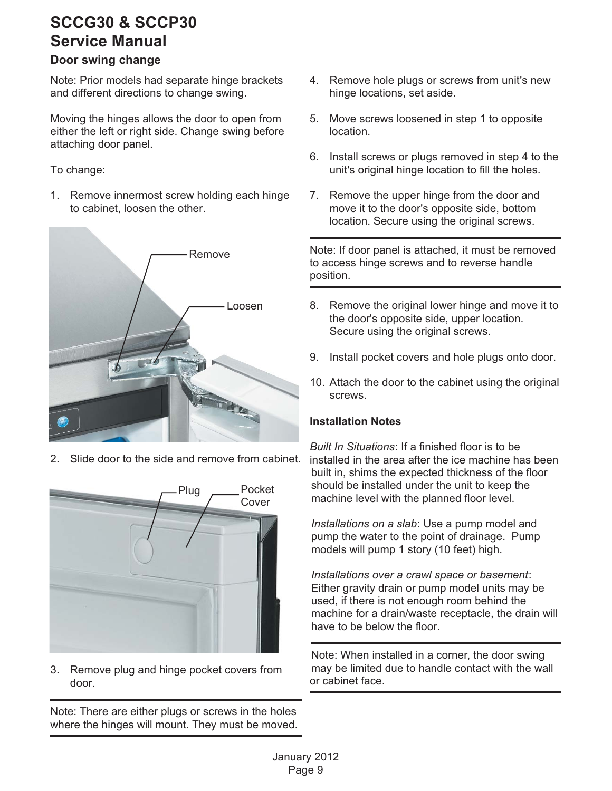#### **Door swing change**

Note: Prior models had separate hinge brackets and different directions to change swing.

Moving the hinges allows the door to open from either the left or right side. Change swing before attaching door panel.

To change:

1. Remove innermost screw holding each hinge to cabinet, loosen the other.



Slide door to the side and remove from cabinet.



3. Remove plug and hinge pocket covers from door.

Note: There are either plugs or screws in the holes where the hinges will mount. They must be moved.

- 4. Remove hole plugs or screws from unit's new hinge locations, set aside.
- 5. Move screws loosened in step 1 to opposite location.
- 6. Install screws or plugs removed in step 4 to the unit's original hinge location to fill the holes.
- 7. Remove the upper hinge from the door and move it to the door's opposite side, bottom location. Secure using the original screws.

Note: If door panel is attached, it must be removed to access hinge screws and to reverse handle position.

- 8. Remove the original lower hinge and move it to the door's opposite side, upper location. Secure using the original screws.
- 9. Install pocket covers and hole plugs onto door.
- 10. Attach the door to the cabinet using the original screws.

#### **Installation Notes**

*Built In Situations*: If a finished floor is to be installed in the area after the ice machine has been built in, shims the expected thickness of the floor should be installed under the unit to keep the machine level with the planned floor level.

*Installations on a slab*: Use a pump model and pump the water to the point of drainage. Pump models will pump 1 story (10 feet) high.

*Installations over a crawl space or basement*: Either gravity drain or pump model units may be used, if there is not enough room behind the machine for a drain/waste receptacle, the drain will have to be below the floor.

Note: When installed in a corner, the door swing may be limited due to handle contact with the wall or cabinet face.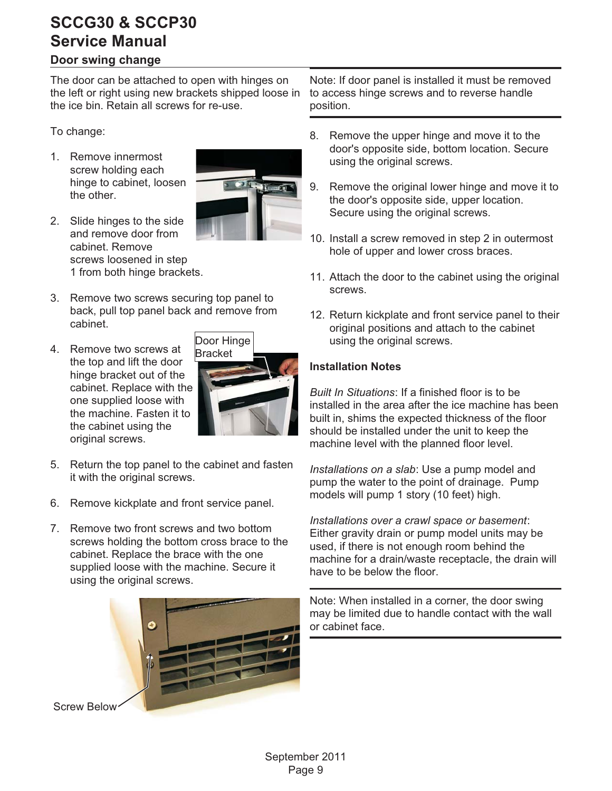#### <span id="page-9-0"></span>**Door swing change**

The door can be attached to open with hinges on the left or right using new brackets shipped loose in the ice bin. Retain all screws for re-use.

To change:

1. Remove innermost screw holding each hinge to cabinet, loosen the other.



- 2. Slide hinges to the side and remove door from cabinet. Remove screws loosened in step 1 from both hinge brackets.
- 3. Remove two screws securing top panel to back, pull top panel back and remove from cabinet.
- 4. Remove two screws at the top and lift the door hinge bracket out of the cabinet. Replace with the one supplied loose with the machine. Fasten it to the cabinet using the original screws.



- 5. Return the top panel to the cabinet and fasten it with the original screws.
- 6. Remove kickplate and front service panel.
- 7. Remove two front screws and two bottom screws holding the bottom cross brace to the cabinet. Replace the brace with the one supplied loose with the machine. Secure it using the original screws.



Note: If door panel is installed it must be removed to access hinge screws and to reverse handle position.

- 8. Remove the upper hinge and move it to the door's opposite side, bottom location. Secure using the original screws.
- 9. Remove the original lower hinge and move it to the door's opposite side, upper location. Secure using the original screws.
- 10. Install a screw removed in step 2 in outermost hole of upper and lower cross braces.
- 11. Attach the door to the cabinet using the original screws.
- 12. Return kickplate and front service panel to their original positions and attach to the cabinet using the original screws.

#### **Installation Notes**

*Built In Situations*: If a finished floor is to be installed in the area after the ice machine has been built in, shims the expected thickness of the floor should be installed under the unit to keep the machine level with the planned floor level.

*Installations on a slab*: Use a pump model and pump the water to the point of drainage. Pump models will pump 1 story (10 feet) high.

*Installations over a crawl space or basement*: Either gravity drain or pump model units may be used, if there is not enough room behind the machine for a drain/waste receptacle, the drain will have to be below the floor.

Note: When installed in a corner, the door swing may be limited due to handle contact with the wall or cabinet face.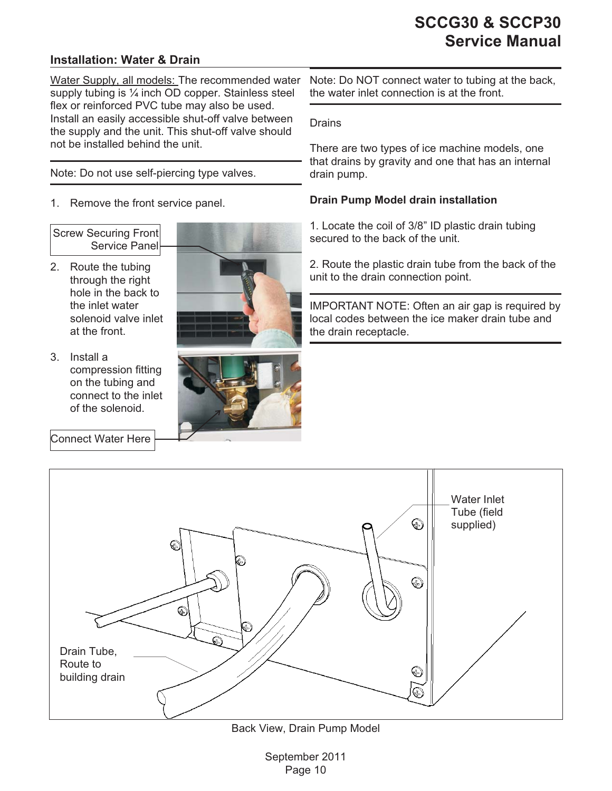#### <span id="page-10-0"></span>**Installation: Water & Drain**

Water Supply, all models: The recommended water supply tubing is 1/4 inch OD copper. Stainless steel flex or reinforced PVC tube may also be used. Install an easily accessible shut-off valve between the supply and the unit. This shut-off valve should not be installed behind the unit.

Note: Do not use self-piercing type valves.

1. Remove the front service panel.

Screw Securing Front Service Panel

- 2. Route the tubing through the right hole in the back to the inlet water solenoid valve inlet at the front.
- 3. Install a compression fitting on the tubing and connect to the inlet of the solenoid.





Connect Water Here



Drains

There are two types of ice machine models, one that drains by gravity and one that has an internal drain pump.

#### **Drain Pump Model drain installation**

1. Locate the coil of 3/8" ID plastic drain tubing secured to the back of the unit.

2. Route the plastic drain tube from the back of the unit to the drain connection point.

IMPORTANT NOTE: Often an air gap is required by local codes between the ice maker drain tube and the drain receptacle.



Back View, Drain Pump Model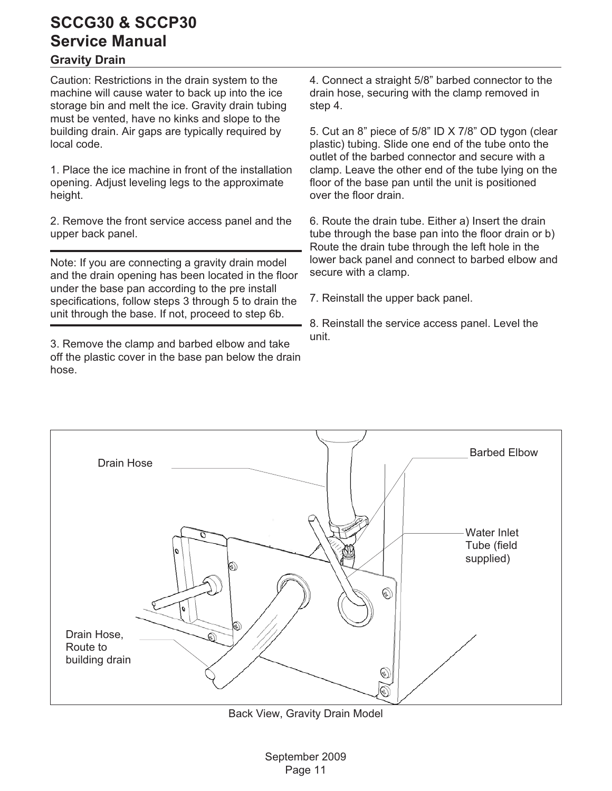#### <span id="page-11-0"></span>**Gravity Drain**

Caution: Restrictions in the drain system to the machine will cause water to back up into the ice storage bin and melt the ice. Gravity drain tubing must be vented, have no kinks and slope to the building drain. Air gaps are typically required by local code.

1. Place the ice machine in front of the installation opening. Adjust leveling legs to the approximate height.

2. Remove the front service access panel and the upper back panel.

Note: If you are connecting a gravity drain model and the drain opening has been located in the floor under the base pan according to the pre install specifications, follow steps 3 through 5 to drain the unit through the base. If not, proceed to step 6b.

3. Remove the clamp and barbed elbow and take off the plastic cover in the base pan below the drain hose.

4. Connect a straight 5/8" barbed connector to the drain hose, securing with the clamp removed in step 4.

5. Cut an 8" piece of 5/8" ID X 7/8" OD tygon (clear plastic) tubing. Slide one end of the tube onto the outlet of the barbed connector and secure with a clamp. Leave the other end of the tube lying on the floor of the base pan until the unit is positioned over the floor drain.

6. Route the drain tube. Either a) Insert the drain tube through the base pan into the floor drain or b) Route the drain tube through the left hole in the lower back panel and connect to barbed elbow and secure with a clamp.

7. Reinstall the upper back panel.

8. Reinstall the service access panel. Level the unit.



Back View, Gravity Drain Model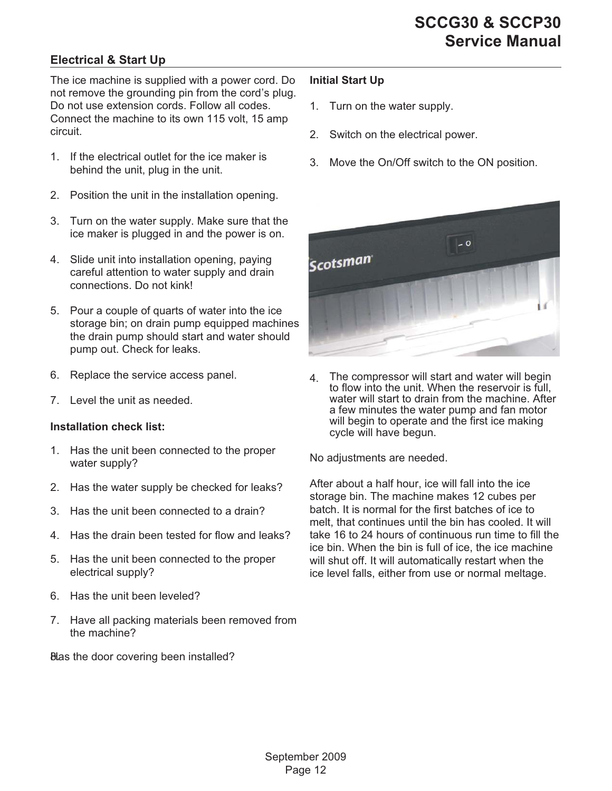#### <span id="page-12-0"></span>**Electrical & Start Up**

The ice machine is supplied with a power cord. Do not remove the grounding pin from the cord's plug. Do not use extension cords. Follow all codes. Connect the machine to its own 115 volt, 15 amp circuit.

- 1. If the electrical outlet for the ice maker is behind the unit, plug in the unit.
- 2. Position the unit in the installation opening.
- 3. Turn on the water supply. Make sure that the ice maker is plugged in and the power is on.
- 4. Slide unit into installation opening, paying careful attention to water supply and drain connections. Do not kink!
- 5. Pour a couple of quarts of water into the ice storage bin; on drain pump equipped machines the drain pump should start and water should pump out. Check for leaks.
- 6. Replace the service access panel.
- 7. Level the unit as needed.

#### **Installation check list:**

- 1. Has the unit been connected to the proper water supply?
- 2. Has the water supply be checked for leaks?
- 3. Has the unit been connected to a drain?
- 4. Has the drain been tested for flow and leaks?
- 5. Has the unit been connected to the proper electrical supply?
- 6. Has the unit been leveled?
- 7. Have all packing materials been removed from the machine?

Blas the door covering been installed?

#### **Initial Start Up**

- 1. Turn on the water supply.
- 2. Switch on the electrical power.
- 3. Move the On/Off switch to the ON position.



4. The compressor will start and water will begin to flow into the unit. When the reservoir is full, water will start to drain from the machine. After a few minutes the water pump and fan motor will begin to operate and the first ice making cycle will have begun.

No adjustments are needed.

After about a half hour, ice will fall into the ice storage bin. The machine makes 12 cubes per batch. It is normal for the first batches of ice to melt, that continues until the bin has cooled. It will take 16 to 24 hours of continuous run time to fill the ice bin. When the bin is full of ice, the ice machine will shut off. It will automatically restart when the ice level falls, either from use or normal meltage.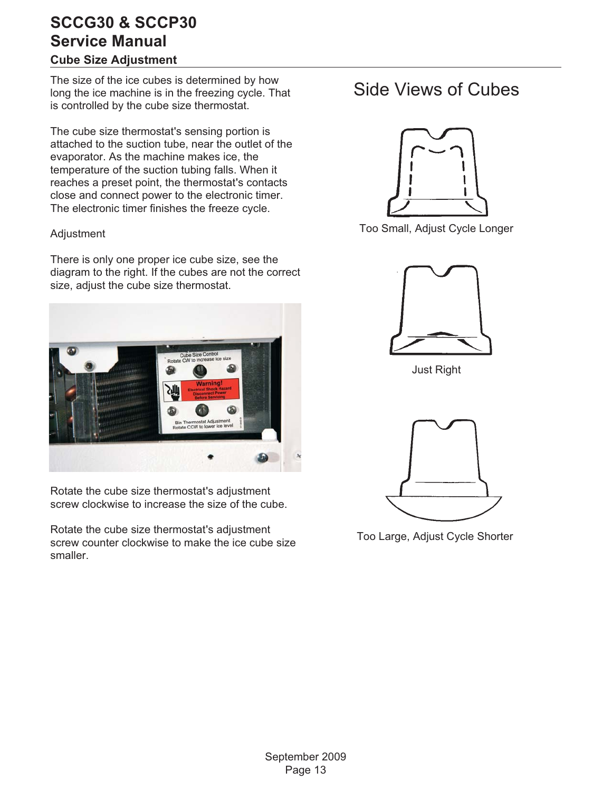#### <span id="page-13-0"></span>**Cube Size Adjustment**

The size of the ice cubes is determined by how long the ice machine is in the freezing cycle. That is controlled by the cube size thermostat.

The cube size thermostat's sensing portion is attached to the suction tube, near the outlet of the evaporator. As the machine makes ice, the temperature of the suction tubing falls. When it reaches a preset point, the thermostat's contacts close and connect power to the electronic timer. The electronic timer finishes the freeze cycle.

#### Adjustment

There is only one proper ice cube size, see the diagram to the right. If the cubes are not the correct size, adjust the cube size thermostat.



Rotate the cube size thermostat's adjustment screw clockwise to increase the size of the cube.

Rotate the cube size thermostat's adjustment screw counter clockwise to make the ice cube size smaller.

## Side Views of Cubes



Too Small, Adjust Cycle Longer



Just Right



Too Large, Adjust Cycle Shorter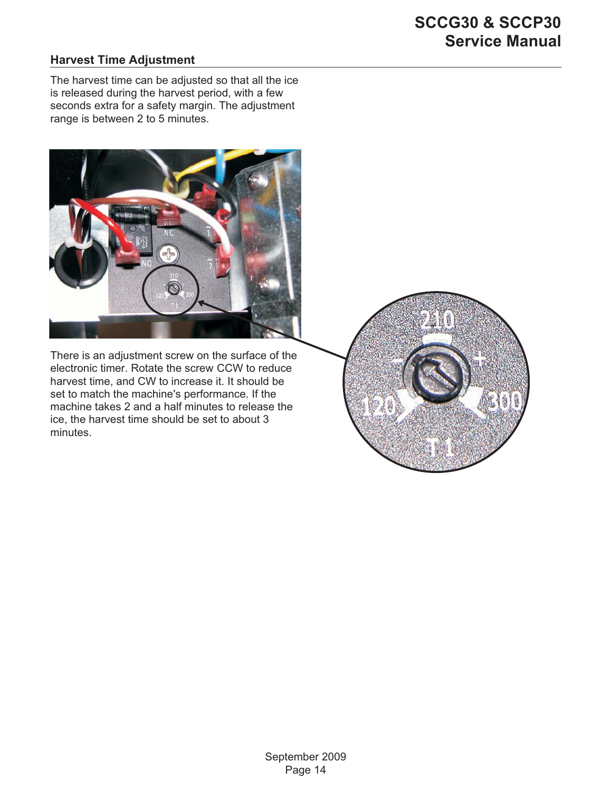#### <span id="page-14-0"></span>**Harvest Time Adjustment**

The harvest time can be adjusted so that all the ice is released during the harvest period, with a few seconds extra for a safety margin. The adjustment range is between 2 to 5 minutes.



There is an adjustment screw on the surface of the electronic timer. Rotate the screw CCW to reduce harvest time, and CW to increase it. It should be set to match the machine's performance. If the machine takes 2 and a half minutes to release the ice, the harvest time should be set to about 3 minutes.

经贸易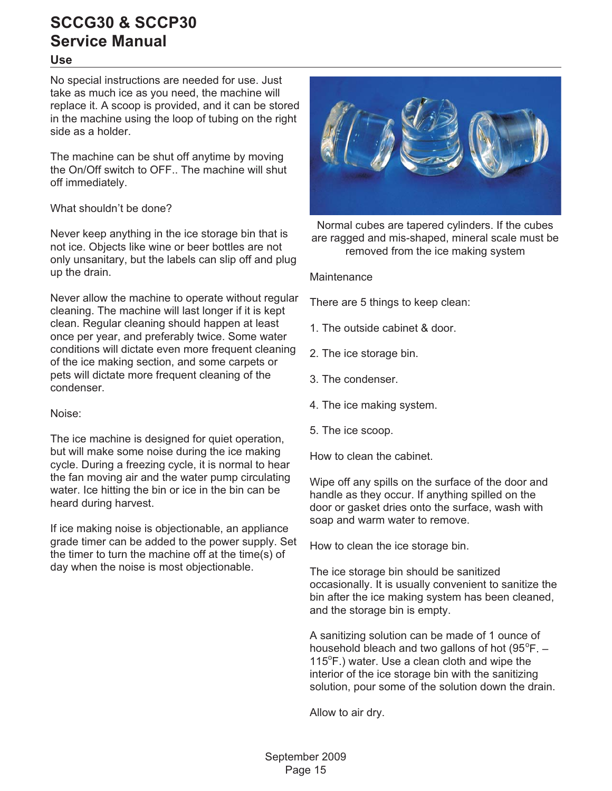#### <span id="page-15-0"></span>**Use**

No special instructions are needed for use. Just take as much ice as you need, the machine will replace it. A scoop is provided, and it can be stored in the machine using the loop of tubing on the right side as a holder.

The machine can be shut off anytime by moving the On/Off switch to OFF.. The machine will shut off immediately.

#### What shouldn't be done?

Never keep anything in the ice storage bin that is not ice. Objects like wine or beer bottles are not only unsanitary, but the labels can slip off and plug up the drain.

Never allow the machine to operate without regular cleaning. The machine will last longer if it is kept clean. Regular cleaning should happen at least once per year, and preferably twice. Some water conditions will dictate even more frequent cleaning of the ice making section, and some carpets or pets will dictate more frequent cleaning of the condenser.

Noise:

The ice machine is designed for quiet operation, but will make some noise during the ice making cycle. During a freezing cycle, it is normal to hear the fan moving air and the water pump circulating water. Ice hitting the bin or ice in the bin can be heard during harvest.

If ice making noise is objectionable, an appliance grade timer can be added to the power supply. Set the timer to turn the machine off at the time(s) of day when the noise is most objectionable.



Normal cubes are tapered cylinders. If the cubes are ragged and mis-shaped, mineral scale must be removed from the ice making system

#### **Maintenance**

There are 5 things to keep clean:

- 1. The outside cabinet & door.
- 2. The ice storage bin.
- 3. The condenser.
- 4. The ice making system.
- 5. The ice scoop.

How to clean the cabinet.

Wipe off any spills on the surface of the door and handle as they occur. If anything spilled on the door or gasket dries onto the surface, wash with soap and warm water to remove.

How to clean the ice storage bin.

The ice storage bin should be sanitized occasionally. It is usually convenient to sanitize the bin after the ice making system has been cleaned, and the storage bin is empty.

A sanitizing solution can be made of 1 ounce of household bleach and two gallons of hot  $(95^{\circ}F. -$ 115°F.) water. Use a clean cloth and wipe the interior of the ice storage bin with the sanitizing solution, pour some of the solution down the drain.

Allow to air dry.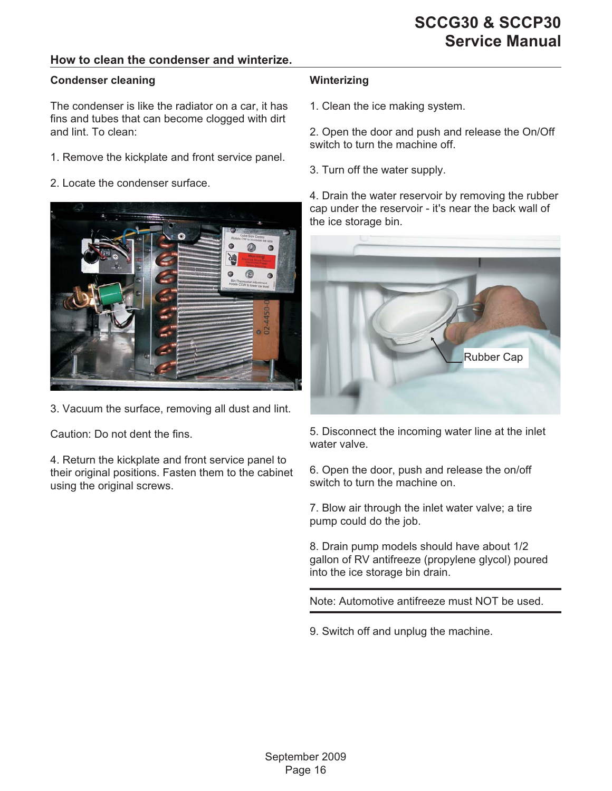#### <span id="page-16-0"></span>**How to clean the condenser and winterize.**

#### **Condenser cleaning**

The condenser is like the radiator on a car, it has fins and tubes that can become clogged with dirt and lint. To clean:

- 1. Remove the kickplate and front service panel.
- 2. Locate the condenser surface.



3. Vacuum the surface, removing all dust and lint.

Caution: Do not dent the fins.

4. Return the kickplate and front service panel to their original positions. Fasten them to the cabinet using the original screws.

#### **Winterizing**

1. Clean the ice making system.

2. Open the door and push and release the On/Off switch to turn the machine off.

3. Turn off the water supply.

4. Drain the water reservoir by removing the rubber cap under the reservoir - it's near the back wall of the ice storage bin.



5. Disconnect the incoming water line at the inlet water valve.

6. Open the door, push and release the on/off switch to turn the machine on.

7. Blow air through the inlet water valve; a tire pump could do the job.

8. Drain pump models should have about 1/2 gallon of RV antifreeze (propylene glycol) poured into the ice storage bin drain.

Note: Automotive antifreeze must NOT be used.

9. Switch off and unplug the machine.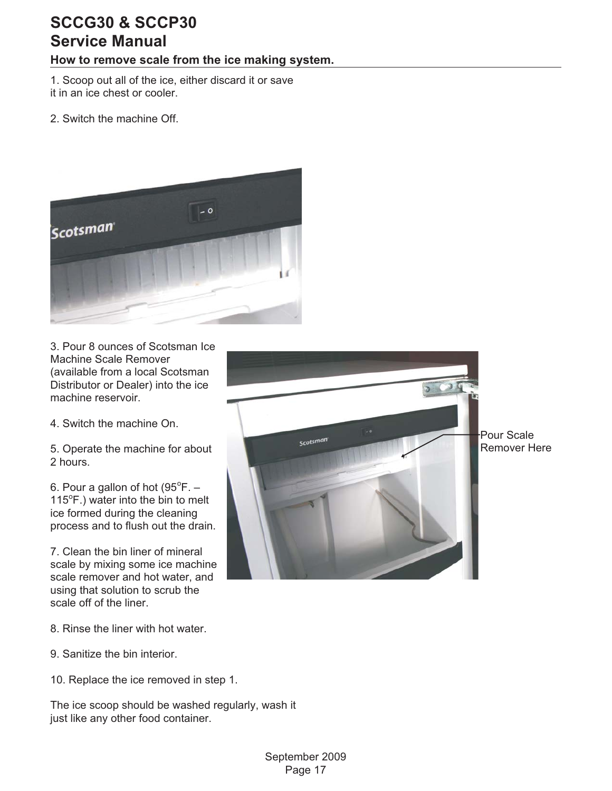#### <span id="page-17-0"></span>**How to remove scale from the ice making system.**

1. Scoop out all of the ice, either discard it or save it in an ice chest or cooler.

2. Switch the machine Off.



3. Pour 8 ounces of Scotsman Ice Machine Scale Remover (available from a local Scotsman Distributor or Dealer) into the ice machine reservoir.

4. Switch the machine On.

5. Operate the machine for about 2 hours.

6. Pour a gallon of hot  $(95^{\circ}F. -$ 115°F.) water into the bin to melt ice formed during the cleaning process and to flush out the drain.

7. Clean the bin liner of mineral scale by mixing some ice machine scale remover and hot water, and using that solution to scrub the scale off of the liner.

Scotsman

Pour Scale Remover Here

- 8. Rinse the liner with hot water.
- 9. Sanitize the bin interior.
- 10. Replace the ice removed in step 1.

The ice scoop should be washed regularly, wash it just like any other food container.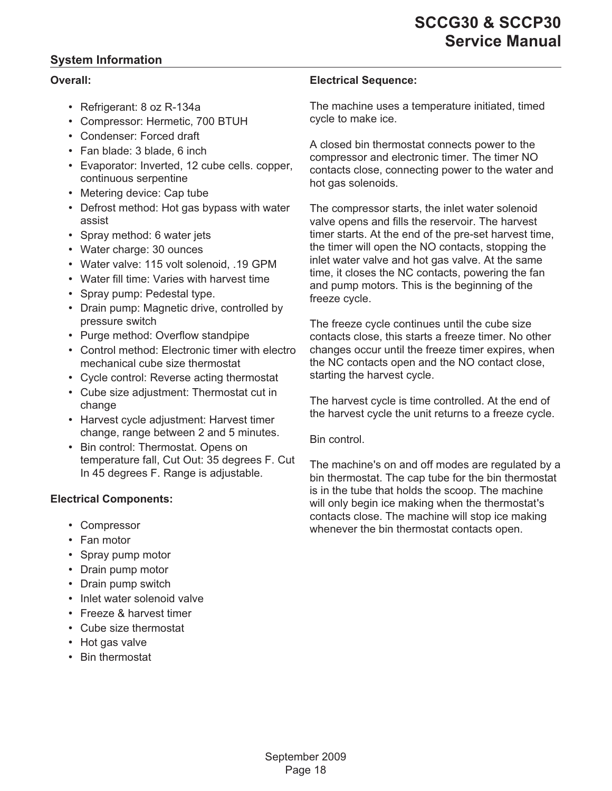#### <span id="page-18-0"></span>**System Information**

#### **Overall:**

- Refrigerant: 8 oz R-134a
- Compressor: Hermetic, 700 BTUH
- Condenser: Forced draft
- Fan blade: 3 blade, 6 inch
- Evaporator: Inverted, 12 cube cells. copper, continuous serpentine
- Metering device: Cap tube
- Defrost method: Hot gas bypass with water assist
- Spray method: 6 water jets
- Water charge: 30 ounces
- Water valve: 115 volt solenoid, .19 GPM
- Water fill time: Varies with harvest time
- Spray pump: Pedestal type.
- Drain pump: Magnetic drive, controlled by pressure switch
- Purge method: Overflow standpipe
- Control method: Electronic timer with electro mechanical cube size thermostat
- Cycle control: Reverse acting thermostat
- Cube size adjustment: Thermostat cut in change
- Harvest cycle adjustment: Harvest timer change, range between 2 and 5 minutes.
- Bin control: Thermostat. Opens on temperature fall, Cut Out: 35 degrees F. Cut In 45 degrees F. Range is adjustable.

#### **Electrical Components:**

- Compressor
- Fan motor
- Spray pump motor
- Drain pump motor
- Drain pump switch
- Inlet water solenoid valve
- Freeze & harvest timer
- Cube size thermostat
- Hot gas valve
- Bin thermostat

#### **Electrical Sequence:**

The machine uses a temperature initiated, timed cycle to make ice.

A closed bin thermostat connects power to the compressor and electronic timer. The timer NO contacts close, connecting power to the water and hot gas solenoids.

The compressor starts, the inlet water solenoid valve opens and fills the reservoir. The harvest timer starts. At the end of the pre-set harvest time, the timer will open the NO contacts, stopping the inlet water valve and hot gas valve. At the same time, it closes the NC contacts, powering the fan and pump motors. This is the beginning of the freeze cycle.

The freeze cycle continues until the cube size contacts close, this starts a freeze timer. No other changes occur until the freeze timer expires, when the NC contacts open and the NO contact close, starting the harvest cycle.

The harvest cycle is time controlled. At the end of the harvest cycle the unit returns to a freeze cycle.

Bin control.

The machine's on and off modes are regulated by a bin thermostat. The cap tube for the bin thermostat is in the tube that holds the scoop. The machine will only begin ice making when the thermostat's contacts close. The machine will stop ice making whenever the bin thermostat contacts open.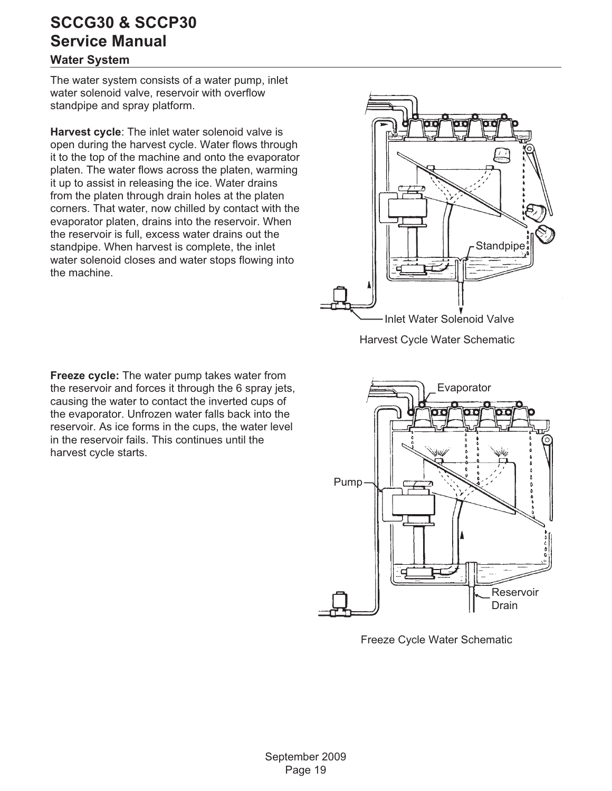#### <span id="page-19-0"></span>**Water System**

The water system consists of a water pump, inlet water solenoid valve, reservoir with overflow standpipe and spray platform.

**Harvest cycle**: The inlet water solenoid valve is open during the harvest cycle. Water flows through it to the top of the machine and onto the evaporator platen. The water flows across the platen, warming it up to assist in releasing the ice. Water drains from the platen through drain holes at the platen corners. That water, now chilled by contact with the evaporator platen, drains into the reservoir. When the reservoir is full, excess water drains out the standpipe. When harvest is complete, the inlet water solenoid closes and water stops flowing into the machine.



Harvest Cycle Water Schematic

**Freeze cycle:** The water pump takes water from the reservoir and forces it through the 6 spray jets, causing the water to contact the inverted cups of the evaporator. Unfrozen water falls back into the reservoir. As ice forms in the cups, the water level in the reservoir fails. This continues until the harvest cycle starts.



Freeze Cycle Water Schematic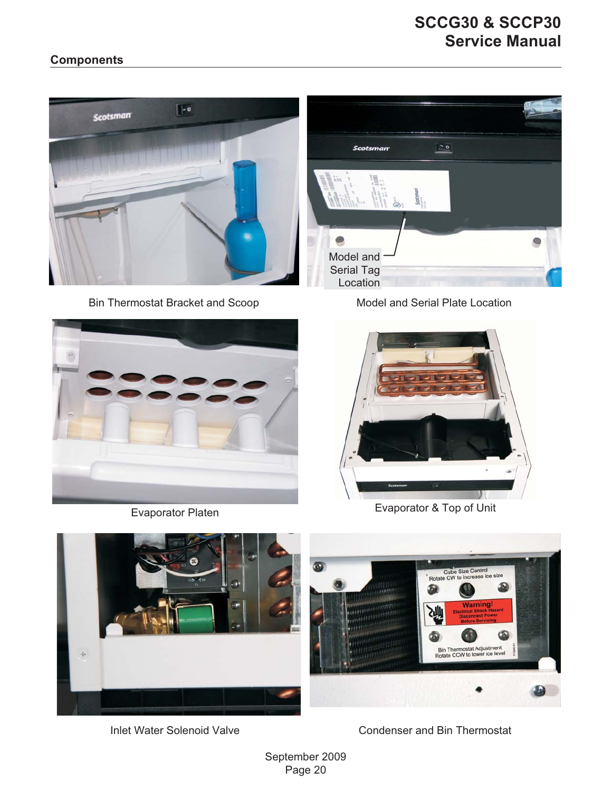#### <span id="page-20-0"></span>**Components**



Bin Thermostat Bracket and Scoop





Model and Serial Plate Location



Evaporator Platen **Evaporator & Top of Unit** 



Inlet Water Solenoid Valve Condenser and Bin Thermostat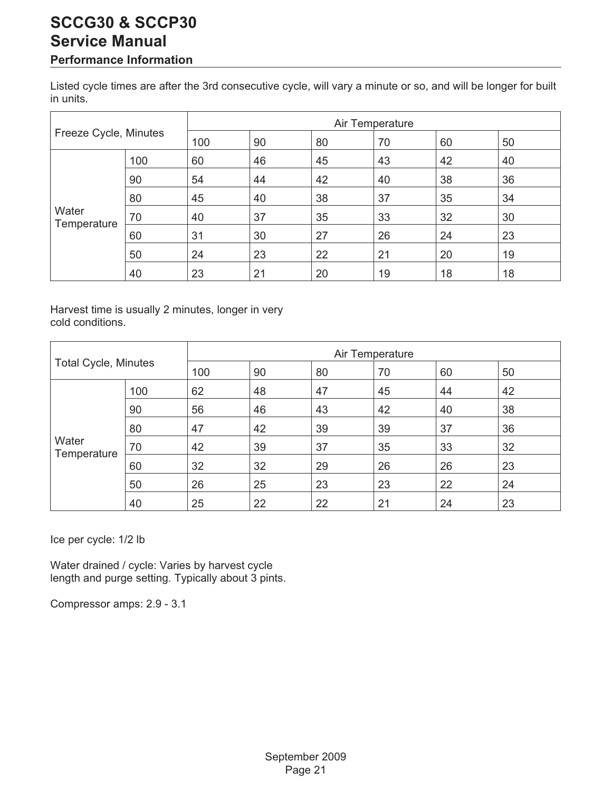#### <span id="page-21-0"></span>**Performance Information**

Listed cycle times are after the 3rd consecutive cycle, will vary a minute or so, and will be longer for built in units.

|                       |     | Air Temperature |    |    |    |    |    |
|-----------------------|-----|-----------------|----|----|----|----|----|
| Freeze Cycle, Minutes |     | 100             | 90 | 80 | 70 | 60 | 50 |
|                       | 100 | 60              | 46 | 45 | 43 | 42 | 40 |
|                       | 90  | 54              | 44 | 42 | 40 | 38 | 36 |
|                       | 80  | 45              | 40 | 38 | 37 | 35 | 34 |
| Water<br>Temperature  | 70  | 40              | 37 | 35 | 33 | 32 | 30 |
|                       | 60  | 31              | 30 | 27 | 26 | 24 | 23 |
|                       | 50  | 24              | 23 | 22 | 21 | 20 | 19 |
|                       | 40  | 23              | 21 | 20 | 19 | 18 | 18 |

Harvest time is usually 2 minutes, longer in very cold conditions.

|                             |     | Air Temperature             |    |    |    |    |    |
|-----------------------------|-----|-----------------------------|----|----|----|----|----|
| <b>Total Cycle, Minutes</b> |     | 90<br>70<br>100<br>80<br>60 |    |    |    | 50 |    |
|                             | 100 | 62                          | 48 | 47 | 45 | 44 | 42 |
|                             | 90  | 56                          | 46 | 43 | 42 | 40 | 38 |
|                             | 80  | 47                          | 42 | 39 | 39 | 37 | 36 |
| Water<br>Temperature        | 70  | 42                          | 39 | 37 | 35 | 33 | 32 |
|                             | 60  | 32                          | 32 | 29 | 26 | 26 | 23 |
|                             | 50  | 26                          | 25 | 23 | 23 | 22 | 24 |
|                             | 40  | 25                          | 22 | 22 | 21 | 24 | 23 |

Ice per cycle: 1/2 lb

Water drained / cycle: Varies by harvest cycle length and purge setting. Typically about 3 pints.

Compressor amps: 2.9 - 3.1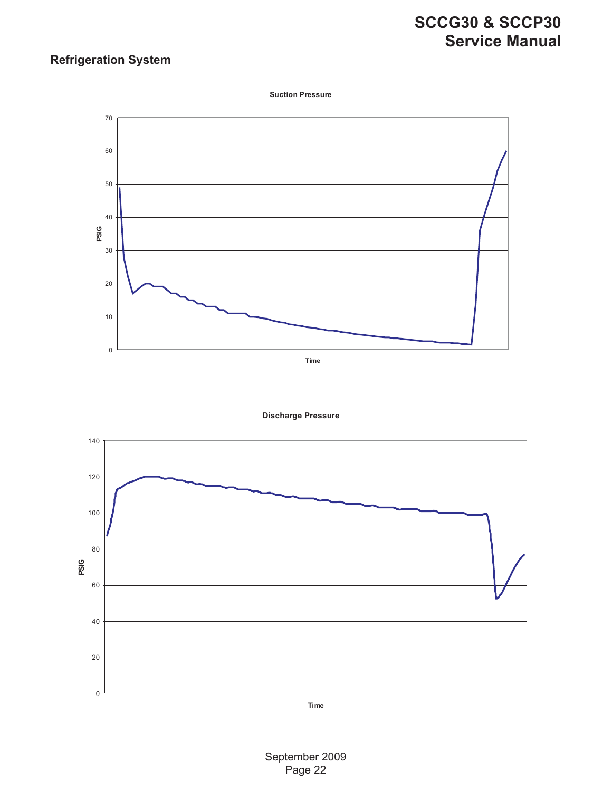### <span id="page-22-0"></span>**Refrigeration System**

**Suction Pressure**







**Time**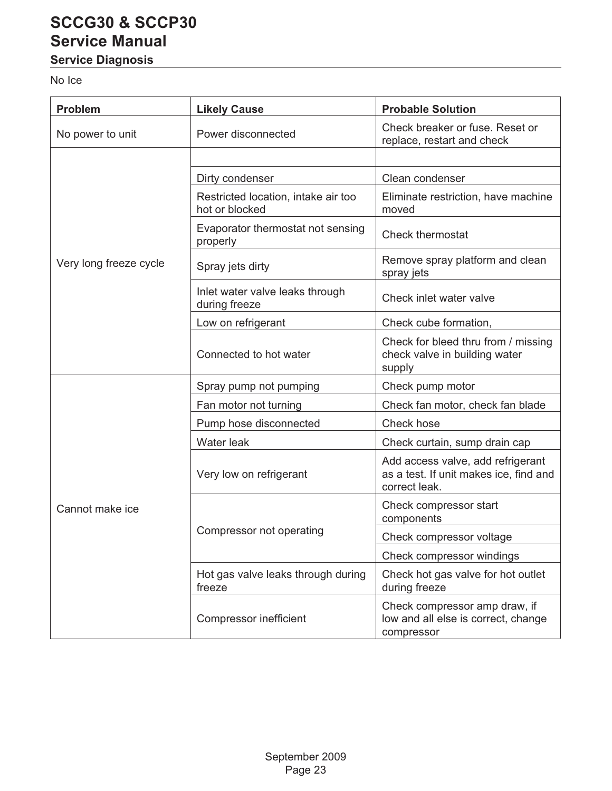### <span id="page-23-0"></span>**Service Diagnosis**

### No Ice

| <b>Problem</b>         | <b>Likely Cause</b>                                   | <b>Probable Solution</b>                                                                     |  |
|------------------------|-------------------------------------------------------|----------------------------------------------------------------------------------------------|--|
| No power to unit       | Power disconnected                                    | Check breaker or fuse. Reset or<br>replace, restart and check                                |  |
|                        |                                                       |                                                                                              |  |
|                        | Dirty condenser                                       | Clean condenser                                                                              |  |
|                        | Restricted location, intake air too<br>hot or blocked | Eliminate restriction, have machine<br>moved                                                 |  |
|                        | Evaporator thermostat not sensing<br>properly         | <b>Check thermostat</b>                                                                      |  |
| Very long freeze cycle | Spray jets dirty                                      | Remove spray platform and clean<br>spray jets                                                |  |
|                        | Inlet water valve leaks through<br>during freeze      | Check inlet water valve                                                                      |  |
|                        | Low on refrigerant                                    | Check cube formation,                                                                        |  |
|                        | Connected to hot water                                | Check for bleed thru from / missing<br>check valve in building water<br>supply               |  |
|                        | Spray pump not pumping                                | Check pump motor                                                                             |  |
|                        | Fan motor not turning                                 | Check fan motor, check fan blade                                                             |  |
|                        | Pump hose disconnected                                | Check hose                                                                                   |  |
|                        | Water leak                                            | Check curtain, sump drain cap                                                                |  |
| Cannot make ice        | Very low on refrigerant                               | Add access valve, add refrigerant<br>as a test. If unit makes ice, find and<br>correct leak. |  |
|                        |                                                       | Check compressor start<br>components                                                         |  |
|                        | Compressor not operating                              | Check compressor voltage                                                                     |  |
|                        |                                                       | Check compressor windings                                                                    |  |
|                        | Hot gas valve leaks through during<br>freeze          | Check hot gas valve for hot outlet<br>during freeze                                          |  |
|                        | <b>Compressor inefficient</b>                         | Check compressor amp draw, if<br>low and all else is correct, change<br>compressor           |  |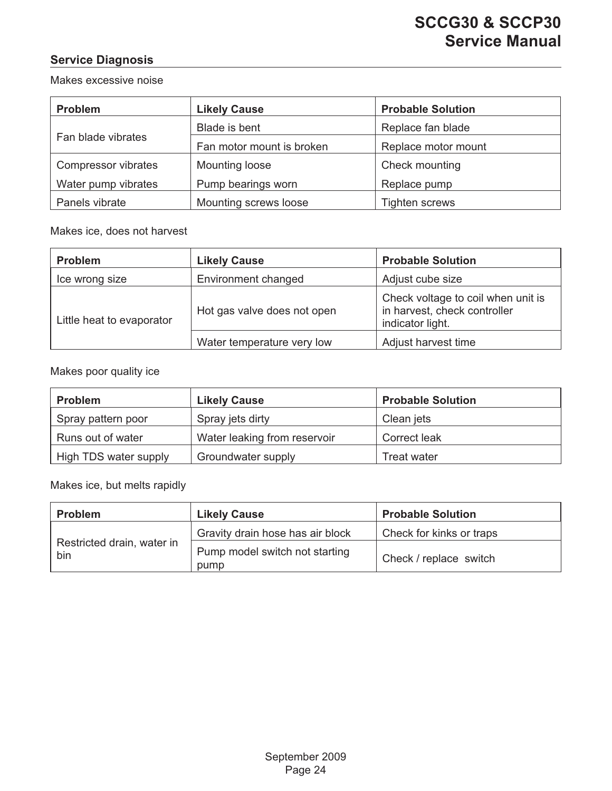#### <span id="page-24-0"></span>**Service Diagnosis**

Makes excessive noise

| <b>Problem</b>      | <b>Likely Cause</b>       | <b>Probable Solution</b> |  |
|---------------------|---------------------------|--------------------------|--|
|                     | Blade is bent             | Replace fan blade        |  |
| Fan blade vibrates  | Fan motor mount is broken | Replace motor mount      |  |
| Compressor vibrates | Mounting loose            | Check mounting           |  |
| Water pump vibrates | Pump bearings worn        | Replace pump             |  |
| Panels vibrate      | Mounting screws loose     | <b>Tighten screws</b>    |  |

#### Makes ice, does not harvest

| <b>Problem</b>            | <b>Likely Cause</b>         | <b>Probable Solution</b>                                                               |
|---------------------------|-----------------------------|----------------------------------------------------------------------------------------|
| Ice wrong size            | Environment changed         | Adjust cube size                                                                       |
| Little heat to evaporator | Hot gas valve does not open | Check voltage to coil when unit is<br>in harvest, check controller<br>indicator light. |
|                           | Water temperature very low  | Adjust harvest time                                                                    |

#### Makes poor quality ice

| <b>Problem</b>        | <b>Likely Cause</b>          | <b>Probable Solution</b> |
|-----------------------|------------------------------|--------------------------|
| Spray pattern poor    | Spray jets dirty             | Clean jets               |
| Runs out of water     | Water leaking from reservoir | Correct leak             |
| High TDS water supply | Groundwater supply           | Treat water              |

Makes ice, but melts rapidly

| <b>Problem</b>                    | <b>Likely Cause</b>                    | <b>Probable Solution</b> |
|-----------------------------------|----------------------------------------|--------------------------|
|                                   | Gravity drain hose has air block       | Check for kinks or traps |
| Restricted drain, water in<br>bin | Pump model switch not starting<br>pump | Check / replace switch   |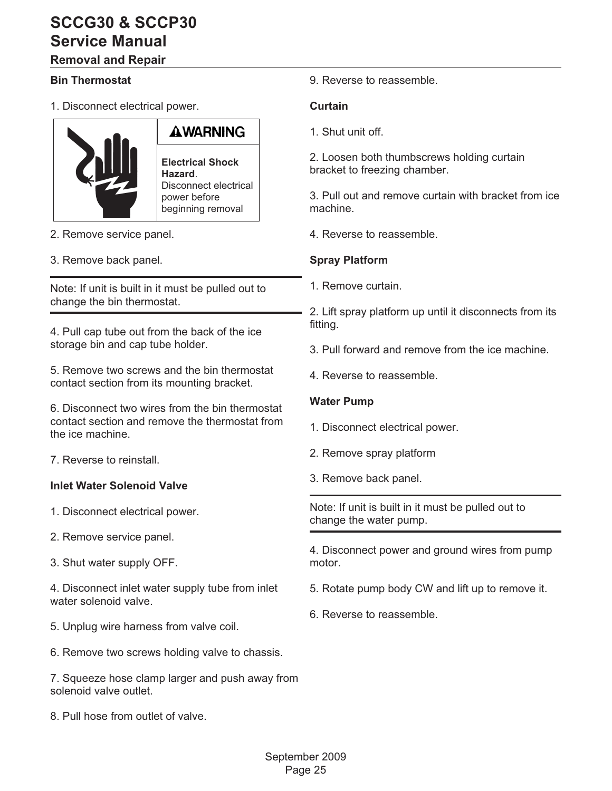### <span id="page-25-0"></span>**Removal and Repair**

#### **Bin Thermostat**

1. Disconnect electrical power.



# AWARNING

**Electrical Shock Hazard**. Disconnect electrical power before beginning removal

- 2. Remove service panel.
- 3. Remove back panel.

Note: If unit is built in it must be pulled out to change the bin thermostat.

4. Pull cap tube out from the back of the ice storage bin and cap tube holder.

5. Remove two screws and the bin thermostat contact section from its mounting bracket.

6. Disconnect two wires from the bin thermostat contact section and remove the thermostat from the ice machine.

7. Reverse to reinstall.

#### **Inlet Water Solenoid Valve**

1. Disconnect electrical power.

- 2. Remove service panel.
- 3. Shut water supply OFF.

4. Disconnect inlet water supply tube from inlet water solenoid valve.

- 5. Unplug wire harness from valve coil.
- 6. Remove two screws holding valve to chassis.

7. Squeeze hose clamp larger and push away from solenoid valve outlet.

8. Pull hose from outlet of valve.

9. Reverse to reassemble.

#### **Curtain**

1. Shut unit off.

2. Loosen both thumbscrews holding curtain bracket to freezing chamber.

3. Pull out and remove curtain with bracket from ice machine.

4. Reverse to reassemble.

#### **Spray Platform**

1. Remove curtain.

2. Lift spray platform up until it disconnects from its fitting.

- 3. Pull forward and remove from the ice machine.
- 4. Reverse to reassemble.

#### **Water Pump**

- 1. Disconnect electrical power.
- 2. Remove spray platform
- 3. Remove back panel.

Note: If unit is built in it must be pulled out to change the water pump.

4. Disconnect power and ground wires from pump motor.

- 5. Rotate pump body CW and lift up to remove it.
- 6. Reverse to reassemble.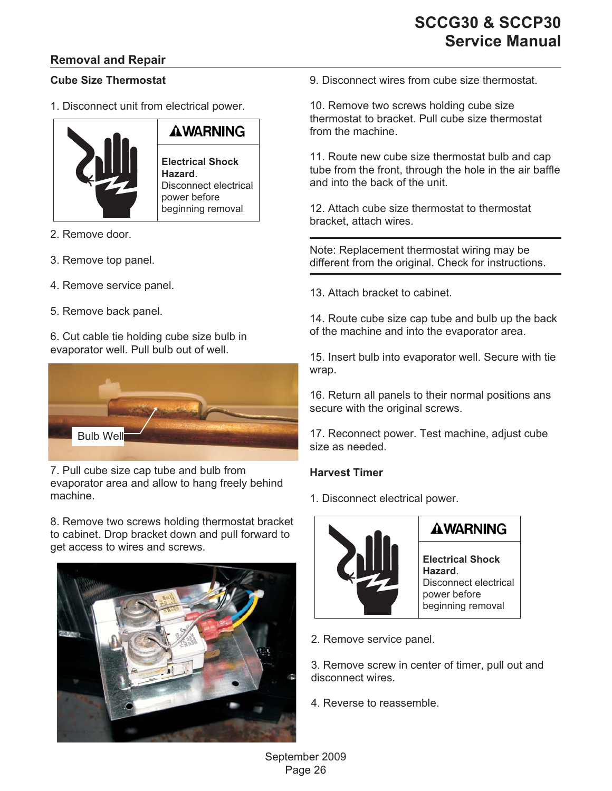#### <span id="page-26-0"></span>**Removal and Repair**

#### **Cube Size Thermostat**

1. Disconnect unit from electrical power.



- 2. Remove door.
- 3. Remove top panel.
- 4. Remove service panel.
- 5. Remove back panel.

6. Cut cable tie holding cube size bulb in evaporator well. Pull bulb out of well.



7. Pull cube size cap tube and bulb from evaporator area and allow to hang freely behind machine.

8. Remove two screws holding thermostat bracket to cabinet. Drop bracket down and pull forward to get access to wires and screws.



9. Disconnect wires from cube size thermostat.

10. Remove two screws holding cube size thermostat to bracket. Pull cube size thermostat from the machine.

11. Route new cube size thermostat bulb and cap tube from the front, through the hole in the air baffle and into the back of the unit.

12. Attach cube size thermostat to thermostat bracket, attach wires.

Note: Replacement thermostat wiring may be different from the original. Check for instructions.

13. Attach bracket to cabinet.

14. Route cube size cap tube and bulb up the back of the machine and into the evaporator area.

15. Insert bulb into evaporator well. Secure with tie wrap.

16. Return all panels to their normal positions ans secure with the original screws.

17. Reconnect power. Test machine, adjust cube size as needed.

#### **Harvest Timer**

1. Disconnect electrical power.



### **AWARNING**

**Electrical Shock Hazard**. Disconnect electrical power before beginning removal

2. Remove service panel.

3. Remove screw in center of timer, pull out and disconnect wires.

4. Reverse to reassemble.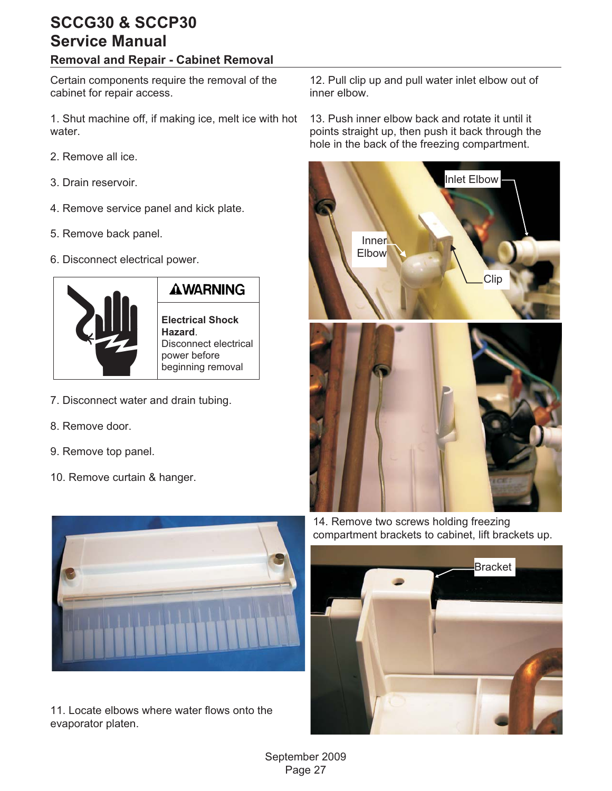#### <span id="page-27-0"></span>**Removal and Repair - Cabinet Removal**

Certain components require the removal of the cabinet for repair access.

1. Shut machine off, if making ice, melt ice with hot water.

- 2. Remove all ice.
- 3. Drain reservoir.
- 4. Remove service panel and kick plate.
- 5. Remove back panel.
- 6. Disconnect electrical power.



### **AWARNING**

**Electrical Shock Hazard**. Disconnect electrical power before beginning removal

- 7. Disconnect water and drain tubing.
- 8. Remove door.
- 9. Remove top panel.
- 10. Remove curtain & hanger.



11. Locate elbows where water flows onto the evaporator platen.

12. Pull clip up and pull water inlet elbow out of inner elbow.

13. Push inner elbow back and rotate it until it points straight up, then push it back through the hole in the back of the freezing compartment.



14. Remove two screws holding freezing compartment brackets to cabinet, lift brackets up.

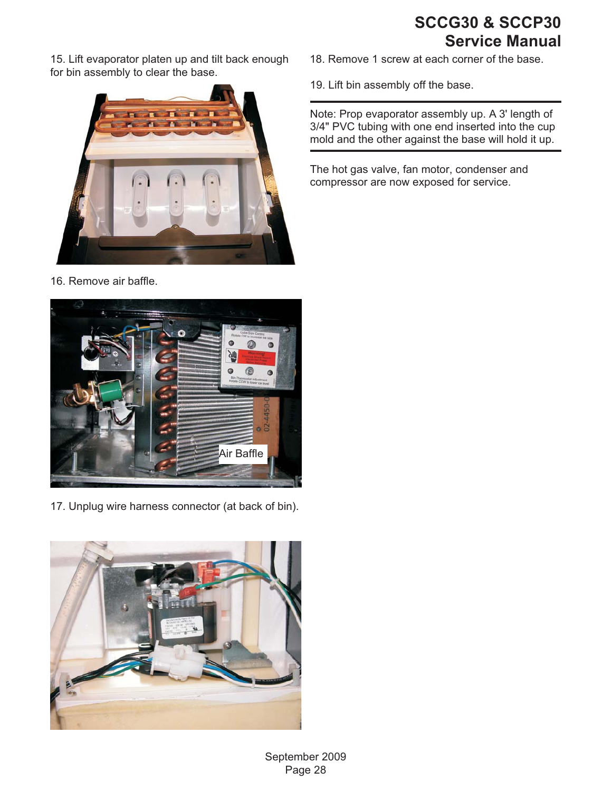<span id="page-28-0"></span>15. Lift evaporator platen up and tilt back enough for bin assembly to clear the base.



16. Remove air baffle.



17. Unplug wire harness connector (at back of bin).



18. Remove 1 screw at each corner of the base.

19. Lift bin assembly off the base.

Note: Prop evaporator assembly up. A 3' length of 3/4" PVC tubing with one end inserted into the cup mold and the other against the base will hold it up.

The hot gas valve, fan motor, condenser and compressor are now exposed for service.